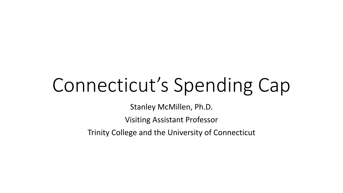# Connecticut's Spending Cap

Stanley McMillen, Ph.D.

Visiting Assistant Professor

Trinity College and the University of Connecticut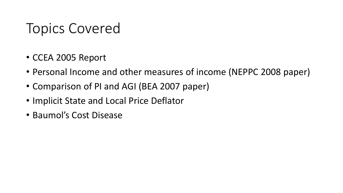# Topics Covered

- CCEA 2005 Report
- Personal Income and other measures of income (NEPPC 2008 paper)
- Comparison of PI and AGI (BEA 2007 paper)
- Implicit State and Local Price Deflator
- Baumol's Cost Disease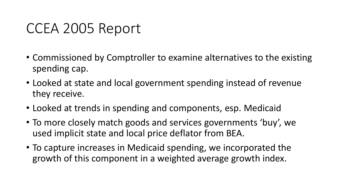### CCEA 2005 Report

- Commissioned by Comptroller to examine alternatives to the existing spending cap.
- Looked at state and local government spending instead of revenue they receive.
- Looked at trends in spending and components, esp. Medicaid
- To more closely match goods and services governments 'buy', we used implicit state and local price deflator from BEA.
- To capture increases in Medicaid spending, we incorporated the growth of this component in a weighted average growth index.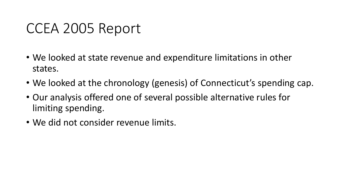### CCEA 2005 Report

- We looked at state revenue and expenditure limitations in other states.
- We looked at the chronology (genesis) of Connecticut's spending cap.
- Our analysis offered one of several possible alternative rules for limiting spending.
- We did not consider revenue limits.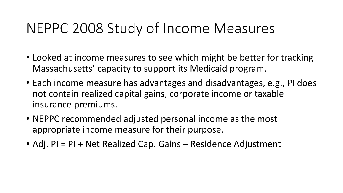# NEPPC 2008 Study of Income Measures

- Looked at income measures to see which might be better for tracking Massachusetts' capacity to support its Medicaid program.
- Each income measure has advantages and disadvantages, e.g., PI does not contain realized capital gains, corporate income or taxable insurance premiums.
- NEPPC recommended adjusted personal income as the most appropriate income measure for their purpose.
- Adj. PI = PI + Net Realized Cap. Gains Residence Adjustment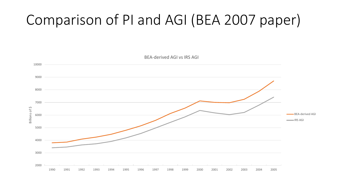# Comparison of PI and AGI (BEA 2007 paper)

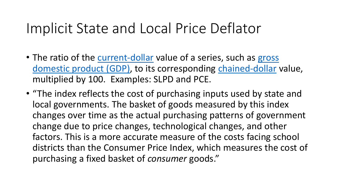### Implicit State and Local Price Deflator

- The ratio of the [current-dollar](http://www.bea.gov/glossary/glossary.cfm?key_word=current_dollar_est&letter=C#current_dollar_est) value of a series, such as gross [domestic product \(GDP\),](http://www.bea.gov/glossary/glossary.cfm?key_word=GDP&letter=G#GDP) to its corresponding [chained-dollar](http://www.bea.gov/glossary/glossary.cfm?key_word=chained_dollar&letter=C#chained_dollar) value, multiplied by 100. Examples: SLPD and PCE.
- "The index reflects the cost of purchasing inputs used by state and local governments. The basket of goods measured by this index changes over time as the actual purchasing patterns of government change due to price changes, technological changes, and other factors. This is a more accurate measure of the costs facing school districts than the Consumer Price Index, which measures the cost of purchasing a fixed basket of *consumer* goods."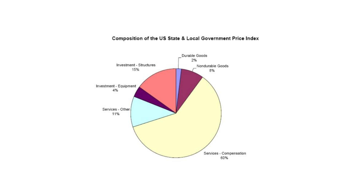#### Composition of the US State & Local Government Price Index

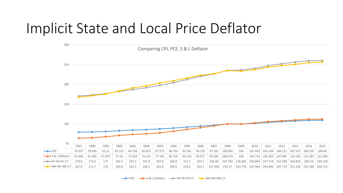#### Implicit State and Local Price Deflator



**PCE**  $\longrightarrow$  S & L Deflator  $\longrightarrow$  NY-NJ-PA-CT  $\longrightarrow$  MA-NH-ME-CT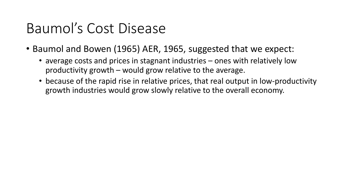- Baumol and Bowen (1965) AER, 1965, suggested that we expect:
	- average costs and prices in stagnant industries ones with relatively low productivity growth – would grow relative to the average.
	- because of the rapid rise in relative prices, that real output in low-productivity growth industries would grow slowly relative to the overall economy.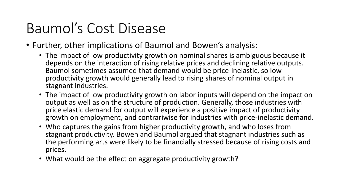- Further, other implications of Baumol and Bowen's analysis:
	- The impact of low productivity growth on nominal shares is ambiguous because it depends on the interaction of rising relative prices and declining relative outputs. Baumol sometimes assumed that demand would be price-inelastic, so low productivity growth would generally lead to rising shares of nominal output in stagnant industries.
	- The impact of low productivity growth on labor inputs will depend on the impact on output as well as on the structure of production. Generally, those industries with price elastic demand for output will experience a positive impact of productivity growth on employment, and contrariwise for industries with price-inelastic demand.
	- Who captures the gains from higher productivity growth, and who loses from stagnant productivity. Bowen and Baumol argued that stagnant industries such as the performing arts were likely to be financially stressed because of rising costs and prices.
	- What would be the effect on aggregate productivity growth?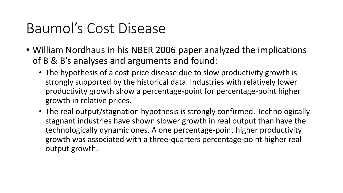- William Nordhaus in his NBER 2006 paper analyzed the implications of B & B's analyses and arguments and found:
	- The hypothesis of a cost-price disease due to slow productivity growth is strongly supported by the historical data. Industries with relatively lower productivity growth show a percentage-point for percentage-point higher growth in relative prices.
	- The real output/stagnation hypothesis is strongly confirmed. Technologically stagnant industries have shown slower growth in real output than have the technologically dynamic ones. A one percentage-point higher productivity growth was associated with a three-quarters percentage-point higher real output growth.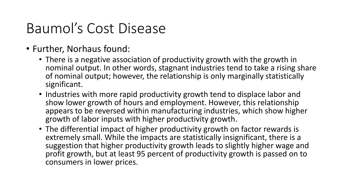- Further, Norhaus found:
	- There is a negative association of productivity growth with the growth in nominal output. In other words, stagnant industries tend to take a rising share of nominal output; however, the relationship is only marginally statistically significant.
	- Industries with more rapid productivity growth tend to displace labor and show lower growth of hours and employment. However, this relationship appears to be reversed within manufacturing industries, which show higher growth of labor inputs with higher productivity growth.
	- The differential impact of higher productivity growth on factor rewards is extremely small. While the impacts are statistically insignificant, there is a suggestion that higher productivity growth leads to slightly higher wage and profit growth, but at least 95 percent of productivity growth is passed on to consumers in lower prices.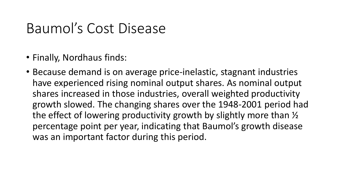- Finally, Nordhaus finds:
- Because demand is on average price-inelastic, stagnant industries have experienced rising nominal output shares. As nominal output shares increased in those industries, overall weighted productivity growth slowed. The changing shares over the 1948-2001 period had the effect of lowering productivity growth by slightly more than ½ percentage point per year, indicating that Baumol's growth disease was an important factor during this period.